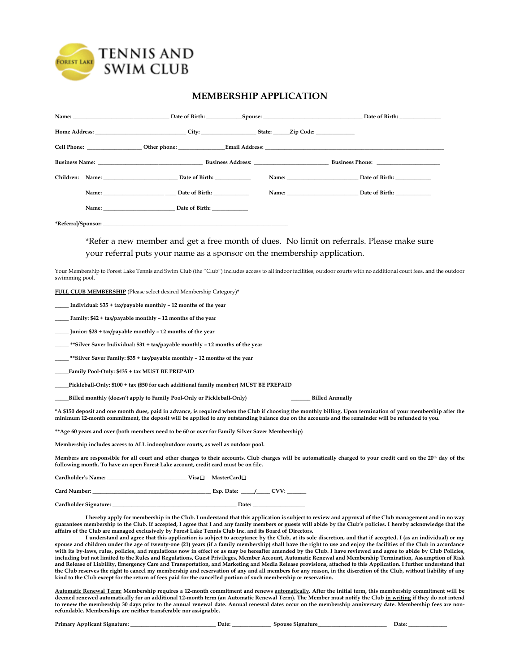

# **MEMBERSHIP APPLICATION**

|                                            | Name: Date of Birth: Spouse: Spouse: Date of Birth: Spouse: Date of Birth: Date of Birth: |
|--------------------------------------------|-------------------------------------------------------------------------------------------|
| Home Address: City: City: State: Zip Code: |                                                                                           |
|                                            |                                                                                           |
| <b>Business Name:</b> Business Address:    | <b>Business Phone:</b>                                                                    |
| Children: Name: Date of Birth:             | Name: Date of Birth:                                                                      |
| Name: Date of Birth:                       | Name: Date of Birth:                                                                      |
| Name: Date of Birth:                       |                                                                                           |

**\*Referral/Sponsor: \_\_\_\_\_\_\_\_\_\_\_\_\_\_\_\_\_\_\_\_\_\_\_\_\_\_\_\_\_\_\_\_\_\_\_\_\_\_\_\_\_\_\_\_\_\_\_\_\_\_\_\_\_\_\_\_\_\_\_\_\_\_\_\_\_\_\_**

\*Refer a new member and get a free month of dues. No limit on referrals. Please make sure your referral puts your name as a sponsor on the membership application.

Your Membership to Forest Lake Tennis and Swim Club (the "Club") includes access to all indoor facilities, outdoor courts with no additional court fees, and the outdoor swimming pool.

**FULL CLUB MEMBERSHIP** (Please select desired Membership Category)\*

**\_\_\_\_\_ Individual: \$35 + tax/payable monthly – 12 months of the year** 

**\_\_\_\_\_ Family: \$42 + tax/payable monthly – 12 months of the year**

**\_\_\_\_\_ Junior: \$28 + tax/payable monthly – 12 months of the year**

**\_\_\_\_\_ \*\*Silver Saver Individual: \$31 + tax/payable monthly – 12 months of the year**

**\_\_\_\_\_ \*\*Silver Saver Family: \$35 + tax/payable monthly – 12 months of the year**

**\_\_\_\_\_Family Pool-Only: \$435 + tax MUST BE PREPAID**

**\_\_\_\_\_Pickleball-Only: \$100 + tax (\$50 for each additional family member) MUST BE PREPAID**

**\_\_\_\_\_Billed monthly (doesn't apply to Family Pool-Only or Pickleball-Only) \_\_\_\_\_\_\_ Billed Annually**

**\*A \$150 deposit and one month dues, paid in advance, is required when the Club if choosing the monthly billing. Upon termination of your membership after the minimum 12-month commitment, the deposit will be applied to any outstanding balance due on the accounts and the remainder will be refunded to you.** 

**\*\*Age 60 years and over (both members need to be 60 or over for Family Silver Saver Membership)**

**Membership includes access to ALL indoor/outdoor courts, as well as outdoor pool.**

**Members are responsible for all court and other charges to their accounts. Club charges will be automatically charged to your credit card on the 20th day of the following month. To have an open Forest Lake account, credit card must be on file.**

**Cardholder's Name: \_\_\_\_\_\_\_\_\_\_\_\_\_\_\_\_\_\_\_\_\_\_\_\_\_\_\_\_\_ Visa MasterCard Card Number: \_\_\_\_\_\_\_\_\_\_\_\_\_\_\_\_\_\_\_\_\_\_\_\_\_\_\_\_\_\_\_\_\_\_\_\_\_\_\_\_\_\_\_ Exp. Date: \_\_\_\_\_/\_\_\_\_\_ CVV: \_\_\_\_\_\_\_ Cardholder Signature: \_\_\_\_\_\_\_\_\_\_\_\_\_\_\_\_\_\_\_\_\_\_\_\_\_\_\_\_\_\_\_\_\_\_\_\_\_\_\_\_\_\_\_\_\_ Date: \_\_\_\_\_\_\_\_\_\_\_\_\_\_\_\_\_\_\_**

**I hereby apply for membership in the Club. I understand that this application is subject to review and approval of the Club management and in no way guarantees membership to the Club. If accepted, I agree that I and any family members or guests will abide by the Club's policies. I hereby acknowledge that the affairs of the Club are managed exclusively by Forest Lake Tennis Club Inc. and its Board of Directors.**

**I understand and agree that this application is subject to acceptance by the Club, at its sole discretion, and that if accepted, I (as an individual) or my spouse and children under the age of twenty-one (21) years (if a family membership) shall have the right to use and enjoy the facilities of the Club in accordance with its by-laws, rules, policies, and regulations now in effect or as may be hereafter amended by the Club. I have reviewed and agree to abide by Club Policies, including but not limited to the Rules and Regulations, Guest Privileges, Member Account, Automatic Renewal and Membership Termination, Assumption of Risk and Release of Liability, Emergency Care and Transportation, and Marketing and Media Release provisions, attached to this Application. I further understand that the Club reserves the right to cancel my membership and reservation of any and all members for any reason, in the discretion of the Club, without liability of any kind to the Club except for the return of fees paid for the cancelled portion of such membership or reservation.**

**Automatic Renewal Term: Membership requires a 12-month commitment and renews automatically***.* **After the initial term, this membership commitment will be deemed renewed automatically for an additional 12-month term (an Automatic Renewal Term). The Member must notify the Club in writing if they do not intend to renew the membership 30 days prior to the annual renewal date. Annual renewal dates occur on the membership anniversary date. Membership fees are nonrefundable. Memberships are neither transferable nor assignable.** 

**Primary Applicant Signature: \_\_\_\_\_\_\_\_\_\_\_\_\_\_\_\_\_\_\_\_\_\_\_\_\_\_\_\_\_\_\_ Date: \_\_\_\_\_\_\_\_\_\_\_\_\_\_ Spouse Signature\_\_\_\_\_\_\_\_\_\_\_\_\_\_\_\_\_\_\_\_\_\_\_\_\_ Date: \_\_\_\_\_\_\_\_\_\_\_\_\_\_**